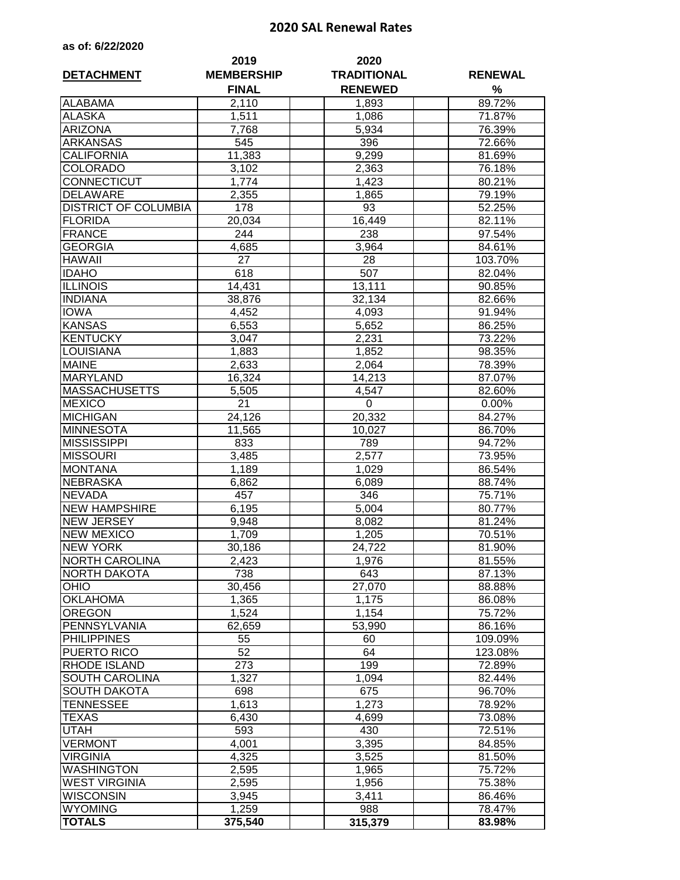## **2020 SAL Renewal Rates**

|  |  | as of: 6/22/2020 |  |  |
|--|--|------------------|--|--|
|--|--|------------------|--|--|

| <b>DETACHMENT</b>           | 2019<br><b>MEMBERSHIP</b><br><b>FINAL</b> | 2020<br><b>TRADITIONAL</b><br><b>RENEWED</b> | <b>RENEWAL</b><br>% |  |
|-----------------------------|-------------------------------------------|----------------------------------------------|---------------------|--|
| <b>ALABAMA</b>              | 2,110                                     | 1,893                                        | 89.72%              |  |
| <b>ALASKA</b>               | 1,511                                     | 1,086                                        | 71.87%              |  |
| <b>ARIZONA</b>              | 7,768                                     | 5,934                                        | 76.39%              |  |
| <b>ARKANSAS</b>             | 545                                       | 396                                          | 72.66%              |  |
| <b>CALIFORNIA</b>           | 11,383                                    | 9,299                                        | 81.69%              |  |
| <b>COLORADO</b>             | 3,102                                     | 2,363                                        | 76.18%              |  |
| <b>CONNECTICUT</b>          | 1,774                                     | 1,423                                        | 80.21%              |  |
| <b>DELAWARE</b>             | 2,355                                     | 1,865                                        | 79.19%              |  |
| <b>DISTRICT OF COLUMBIA</b> | 178                                       | 93                                           | 52.25%              |  |
| <b>FLORIDA</b>              | 20,034                                    | 16,449                                       | 82.11%              |  |
| <b>FRANCE</b>               | 244                                       | 238                                          | 97.54%              |  |
| <b>GEORGIA</b>              | 4,685                                     | 3,964                                        | 84.61%              |  |
| <b>HAWAII</b>               | 27                                        | 28                                           | 103.70%             |  |
| <b>IDAHO</b>                | 618                                       | 507                                          | 82.04%              |  |
| <b>ILLINOIS</b>             | 14,431                                    | 13,111                                       | 90.85%              |  |
| <b>INDIANA</b>              | 38,876                                    | 32,134                                       | 82.66%              |  |
| <b>IOWA</b>                 | 4,452                                     | 4,093                                        | 91.94%              |  |
| <b>KANSAS</b>               | 6,553                                     | 5,652                                        | 86.25%              |  |
| <b>KENTUCKY</b>             | 3,047                                     | 2,231                                        | 73.22%              |  |
| LOUISIANA                   | 1,883                                     | 1,852                                        | 98.35%              |  |
| <b>MAINE</b>                | 2,633                                     | 2,064                                        | 78.39%              |  |
| <b>MARYLAND</b>             | 16,324                                    | 14,213                                       | 87.07%              |  |
| <b>MASSACHUSETTS</b>        | 5,505                                     | 4,547                                        | 82.60%              |  |
| <b>MEXICO</b>               | 21                                        | $\pmb{0}$                                    | 0.00%               |  |
| <b>MICHIGAN</b>             | 24,126                                    | 20,332                                       | 84.27%              |  |
| <b>MINNESOTA</b>            | 11,565                                    | 10,027                                       | 86.70%              |  |
| <b>MISSISSIPPI</b>          | 833                                       | 789                                          | 94.72%              |  |
| <b>MISSOURI</b>             | 3,485                                     | 2,577                                        | 73.95%              |  |
| <b>MONTANA</b>              | 1,189                                     | 1,029                                        | 86.54%              |  |
| <b>NEBRASKA</b>             | 6,862                                     | 6,089                                        | 88.74%              |  |
| <b>NEVADA</b>               | 457                                       | 346                                          | 75.71%              |  |
| <b>NEW HAMPSHIRE</b>        | 6,195                                     | 5,004                                        | 80.77%              |  |
| <b>NEW JERSEY</b>           | 9,948                                     | 8,082                                        | 81.24%              |  |
| <b>NEW MEXICO</b>           | 1,709                                     | 1,205                                        | 70.51%              |  |
| <b>NEW YORK</b>             | 30,186                                    | 24,722                                       | 81.90%              |  |
| <b>NORTH CAROLINA</b>       | 2,423                                     | 1,976                                        | 81.55%              |  |
| <b>NORTH DAKOTA</b>         | 738                                       | 643                                          | 87.13%              |  |
| <b>OHIO</b>                 | 30,456                                    | 27,070                                       | 88.88%              |  |
| <b>OKLAHOMA</b>             | 1,365                                     | 1,175                                        | 86.08%              |  |
| <b>OREGON</b>               | 1,524                                     | 1,154                                        | 75.72%              |  |
| PENNSYLVANIA                | 62,659                                    | 53,990                                       | 86.16%              |  |
| <b>PHILIPPINES</b>          | 55                                        | 60                                           | 109.09%             |  |
| <b>PUERTO RICO</b>          | 52                                        | 64                                           | 123.08%             |  |
| <b>RHODE ISLAND</b>         | 273                                       | 199                                          | 72.89%              |  |
| <b>SOUTH CAROLINA</b>       | 1,327                                     | 1,094                                        | 82.44%              |  |
| <b>SOUTH DAKOTA</b>         | 698                                       | 675                                          | 96.70%              |  |
| <b>TENNESSEE</b>            | 1,613                                     | 1,273                                        | 78.92%              |  |
| <b>TEXAS</b>                | 6,430                                     | 4,699                                        | 73.08%              |  |
| <b>UTAH</b>                 | 593                                       | 430                                          | 72.51%              |  |
| <b>VERMONT</b>              | 4,001                                     | 3,395                                        | 84.85%              |  |
| <b>VIRGINIA</b>             | 4,325                                     | 3,525                                        | 81.50%              |  |
| <b>WASHINGTON</b>           | 2,595                                     | 1,965                                        | 75.72%              |  |
| <b>WEST VIRGINIA</b>        | 2,595                                     | 1,956                                        | 75.38%              |  |
| <b>WISCONSIN</b>            | 3,945                                     | 3,411                                        | 86.46%              |  |
| <b>WYOMING</b>              | 1,259                                     | 988                                          | 78.47%              |  |
| <b>TOTALS</b>               | 375,540                                   | 315,379                                      | 83.98%              |  |